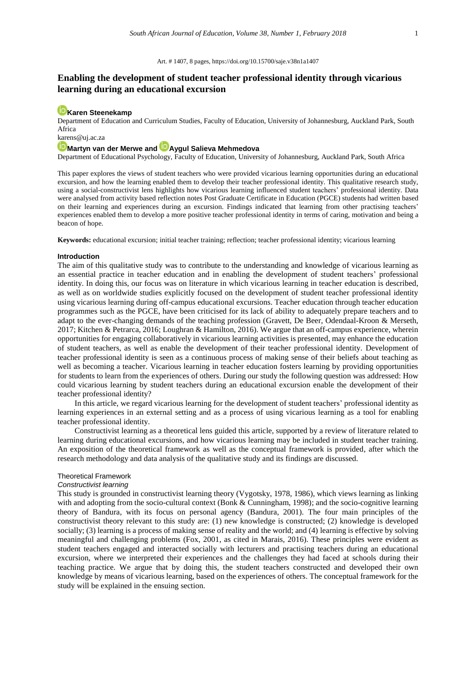#### Art. # 1407, 8 pages[, https://doi.org/10.15700/saje.v38n1a1407](https://doi.org/10.15700/saje.v38n1a1407)

# **Enabling the development of student teacher professional identity through vicarious learning during an educational excursion**

## **[Karen Steenekamp](http://orcid.org/0000-0002-3089-2498)**

Department of Education and Curriculum Studies, Faculty of Education, University of Johannesburg, Auckland Park, South Africa

# [karens@uj.ac.za](mailto:karens@uj.ac.za)

# **[Martyn van der Merwe](http://orcid.org/0000-0002-2686-6705) an[d Aygul Salieva Mehmedova](http://orcid.org/0000-0003-4238-309X)**

Department of Educational Psychology, Faculty of Education, University of Johannesburg, Auckland Park, South Africa

This paper explores the views of student teachers who were provided vicarious learning opportunities during an educational excursion, and how the learning enabled them to develop their teacher professional identity. This qualitative research study, using a social-constructivist lens highlights how vicarious learning influenced student teachers' professional identity. Data were analysed from activity based reflection notes Post Graduate Certificate in Education (PGCE) students had written based on their learning and experiences during an excursion. Findings indicated that learning from other practising teachers' experiences enabled them to develop a more positive teacher professional identity in terms of caring, motivation and being a beacon of hope.

**Keywords:** educational excursion; initial teacher training; reflection; teacher professional identity; vicarious learning

#### **Introduction**

The aim of this qualitative study was to contribute to the understanding and knowledge of vicarious learning as an essential practice in teacher education and in enabling the development of student teachers' professional identity. In doing this, our focus was on literature in which vicarious learning in teacher education is described, as well as on worldwide studies explicitly focused on the development of student teacher professional identity using vicarious learning during off-campus educational excursions. Teacher education through teacher education programmes such as the PGCE, have been criticised for its lack of ability to adequately prepare teachers and to adapt to the ever-changing demands of the teaching profession (Gravett, De Beer, Odendaal-Kroon & Merseth, 2017; Kitchen & Petrarca, 2016; Loughran & Hamilton, 2016). We argue that an off-campus experience, wherein opportunities for engaging collaboratively in vicarious learning activities is presented, may enhance the education of student teachers, as well as enable the development of their teacher professional identity. Development of teacher professional identity is seen as a continuous process of making sense of their beliefs about teaching as well as becoming a teacher. Vicarious learning in teacher education fosters learning by providing opportunities for students to learn from the experiences of others. During our study the following question was addressed: How could vicarious learning by student teachers during an educational excursion enable the development of their teacher professional identity?

In this article, we regard vicarious learning for the development of student teachers' professional identity as learning experiences in an external setting and as a process of using vicarious learning as a tool for enabling teacher professional identity.

Constructivist learning as a theoretical lens guided this article, supported by a review of literature related to learning during educational excursions, and how vicarious learning may be included in student teacher training. An exposition of the theoretical framework as well as the conceptual framework is provided, after which the research methodology and data analysis of the qualitative study and its findings are discussed.

### Theoretical Framework

#### *Constructivist learning*

This study is grounded in constructivist learning theory (Vygotsky, 1978, 1986), which views learning as linking with and adopting from the socio-cultural context (Bonk & Cunningham, 1998); and the socio-cognitive learning theory of Bandura, with its focus on personal agency (Bandura, 2001). The four main principles of the constructivist theory relevant to this study are: (1) new knowledge is constructed; (2) knowledge is developed socially; (3) learning is a process of making sense of reality and the world; and (4) learning is effective by solving meaningful and challenging problems (Fox, 2001, as cited in Marais, 2016). These principles were evident as student teachers engaged and interacted socially with lecturers and practising teachers during an educational excursion, where we interpreted their experiences and the challenges they had faced at schools during their teaching practice. We argue that by doing this, the student teachers constructed and developed their own knowledge by means of vicarious learning, based on the experiences of others. The conceptual framework for the study will be explained in the ensuing section.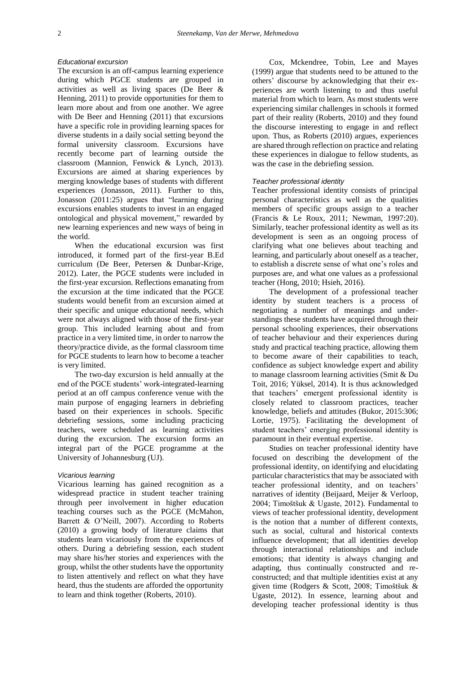## *Educational excursion*

The excursion is an off-campus learning experience during which PGCE students are grouped in activities as well as living spaces (De Beer & Henning, 2011) to provide opportunities for them to learn more about and from one another. We agree with De Beer and Henning (2011) that excursions have a specific role in providing learning spaces for diverse students in a daily social setting beyond the formal university classroom. Excursions have recently become part of learning outside the classroom (Mannion, Fenwick & Lynch, 2013). Excursions are aimed at sharing experiences by merging knowledge bases of students with different experiences (Jonasson, 2011). Further to this, Jonasson (2011:25) argues that "learning during excursions enables students to invest in an engaged ontological and physical movement," rewarded by new learning experiences and new ways of being in the world.

When the educational excursion was first introduced, it formed part of the first-year B.Ed curriculum (De Beer, Petersen & Dunbar-Krige, 2012). Later, the PGCE students were included in the first-year excursion. Reflections emanating from the excursion at the time indicated that the PGCE students would benefit from an excursion aimed at their specific and unique educational needs, which were not always aligned with those of the first-year group. This included learning about and from practice in a very limited time, in order to narrow the theory/practice divide, as the formal classroom time for PGCE students to learn how to become a teacher is very limited.

The two-day excursion is held annually at the end of the PGCE students' work-integrated-learning period at an off campus conference venue with the main purpose of engaging learners in debriefing based on their experiences in schools. Specific debriefing sessions, some including practicing teachers, were scheduled as learning activities during the excursion. The excursion forms an integral part of the PGCE programme at the University of Johannesburg (UJ).

#### *Vicarious learning*

Vicarious learning has gained recognition as a widespread practice in student teacher training through peer involvement in higher education teaching courses such as the PGCE (McMahon, Barrett & O'Neill, 2007). According to Roberts (2010) a growing body of literature claims that students learn vicariously from the experiences of others. During a debriefing session, each student may share his/her stories and experiences with the group, whilst the other students have the opportunity to listen attentively and reflect on what they have heard, thus the students are afforded the opportunity to learn and think together (Roberts, 2010).

Cox, Mckendree, Tobin, Lee and Mayes (1999) argue that students need to be attuned to the others' discourse by acknowledging that their experiences are worth listening to and thus useful material from which to learn. As most students were experiencing similar challenges in schools it formed part of their reality (Roberts, 2010) and they found the discourse interesting to engage in and reflect upon. Thus, as Roberts (2010) argues, experiences are shared through reflection on practice and relating these experiences in dialogue to fellow students, as was the case in the debriefing session.

#### *Teacher professional identity*

Teacher professional identity consists of principal personal characteristics as well as the qualities members of specific groups assign to a teacher (Francis & Le Roux, 2011; Newman, 1997:20). Similarly, teacher professional identity as well as its development is seen as an ongoing process of clarifying what one believes about teaching and learning, and particularly about oneself as a teacher, to establish a discrete sense of what one's roles and purposes are, and what one values as a professional teacher (Hong, 2010; Hsieh, 2016).

The development of a professional teacher identity by student teachers is a process of negotiating a number of meanings and understandings these students have acquired through their personal schooling experiences, their observations of teacher behaviour and their experiences during study and practical teaching practice, allowing them to become aware of their capabilities to teach, confidence as subject knowledge expert and ability to manage classroom learning activities (Smit & Du Toit, 2016; Yüksel, 2014). It is thus acknowledged that teachers' emergent professional identity is closely related to classroom practices, teacher knowledge, beliefs and attitudes (Bukor, 2015:306; Lortie, 1975). Facilitating the development of student teachers' emerging professional identity is paramount in their eventual expertise.

Studies on teacher professional identity have focused on describing the development of the professional identity, on identifying and elucidating particular characteristics that may be associated with teacher professional identity, and on teachers' narratives of identity (Beijaard, Meijer & Verloop, 2004; Timoštšuk & Ugaste, 2012). Fundamental to views of teacher professional identity, development is the notion that a number of different contexts, such as social, cultural and historical contexts influence development; that all identities develop through interactional relationships and include emotions; that identity is always changing and adapting, thus continually constructed and reconstructed; and that multiple identities exist at any given time (Rodgers & Scott, 2008; Timoštšuk & Ugaste, 2012). In essence, learning about and developing teacher professional identity is thus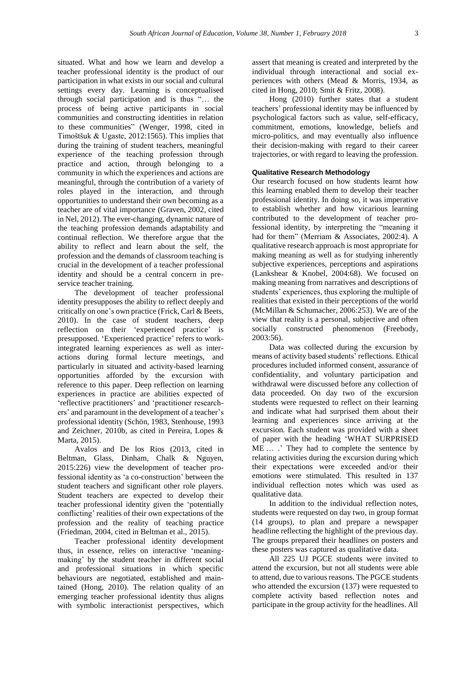situated. What and how we learn and develop a teacher professional identity is the product of our participation in what exists in our social and cultural settings every day. Learning is conceptualised through social participation and is thus "… the process of being active participants in social communities and constructing identities in relation to these communities" (Wenger, 1998, cited in Timoštšuk & Ugaste, 2012:1565). This implies that during the training of student teachers, meaningful experience of the teaching profession through practice and action, through belonging to a community in which the experiences and actions are meaningful, through the contribution of a variety of roles played in the interaction, and through opportunities to understand their own becoming as a teacher are of vital importance (Graven, 2002, cited in Nel, 2012). The ever-changing, dynamic nature of the teaching profession demands adaptability and continual reflection. We therefore argue that the ability to reflect and learn about the self, the profession and the demands of classroom teaching is crucial in the development of a teacher professional identity and should be a central concern in pre-

service teacher training. The development of teacher professional identity presupposes the ability to reflect deeply and critically on one's own practice (Frick, Carl & Beets, 2010). In the case of student teachers, deep reflection on their 'experienced practice' is presupposed. 'Experienced practice' refers to workintegrated learning experiences as well as interactions during formal lecture meetings, and particularly in situated and activity-based learning opportunities afforded by the excursion with reference to this paper. Deep reflection on learning experiences in practice are abilities expected of 'reflective practitioners' and 'practitioner researchers' and paramount in the development of a teacher's professional identity (Schön, 1983, Stenhouse, 1993 and Zeichner, 2010b, as cited in Pereira, Lopes & Marta, 2015).

Avalos and De los Rios (2013, cited in Beltman, Glass, Dinham, Chalk & Nguyen, 2015:226) view the development of teacher professional identity as 'a co-construction' between the student teachers and significant other role players. Student teachers are expected to develop their teacher professional identity given the 'potentially conflicting' realities of their own expectations of the profession and the reality of teaching practice (Friedman, 2004, cited in Beltman et al., 2015).

Teacher professional identity development thus, in essence, relies on interactive 'meaningmaking' by the student teacher in different social and professional situations in which specific behaviours are negotiated, established and maintained (Hong, 2010). The relation quality of an emerging teacher professional identity thus aligns with symbolic interactionist perspectives, which assert that meaning is created and interpreted by the individual through interactional and social experiences with others (Mead & Morris, 1934, as cited in Hong, 2010; Smit & Fritz, 2008).

Hong (2010) further states that a student teachers' professional identity may be influenced by psychological factors such as value, self-efficacy, commitment, emotions, knowledge, beliefs and micro-politics, and may eventually also influence their decision-making with regard to their career trajectories, or with regard to leaving the profession.

### **Qualitative Research Methodology**

Our research focused on how students learnt how this learning enabled them to develop their teacher professional identity. In doing so, it was imperative to establish whether and how vicarious learning contributed to the development of teacher professional identity, by interpreting the "meaning it had for them" (Merriam & Associates, 2002:4). A qualitative research approach is most appropriate for making meaning as well as for studying inherently subjective experiences, perceptions and aspirations (Lankshear & Knobel, 2004:68). We focused on making meaning from narratives and descriptions of students' experiences, thus exploring the multiple of realities that existed in their perceptions of the world (McMillan & Schumacher, 2006:253). We are of the view that reality is a personal, subjective and often socially constructed phenomenon (Freebody, 2003:56).

Data was collected during the excursion by means of activity based students' reflections. Ethical procedures included informed consent, assurance of confidentiality, and voluntary participation and withdrawal were discussed before any collection of data proceeded. On day two of the excursion students were requested to reflect on their learning and indicate what had surprised them about their learning and experiences since arriving at the excursion. Each student was provided with a sheet of paper with the heading 'WHAT SURPRISED ME … .' They had to complete the sentence by relating activities during the excursion during which their expectations were exceeded and/or their emotions were stimulated. This resulted in 137 individual reflection notes which was used as qualitative data.

In addition to the individual reflection notes, students were requested on day two, in group format (14 groups), to plan and prepare a newspaper headline reflecting the highlight of the previous day. The groups prepared their headlines on posters and these posters was captured as qualitative data.

All 225 UJ PGCE students were invited to attend the excursion, but not all students were able to attend, due to various reasons. The PGCE students who attended the excursion (137) were requested to complete activity based reflection notes and participate in the group activity for the headlines. All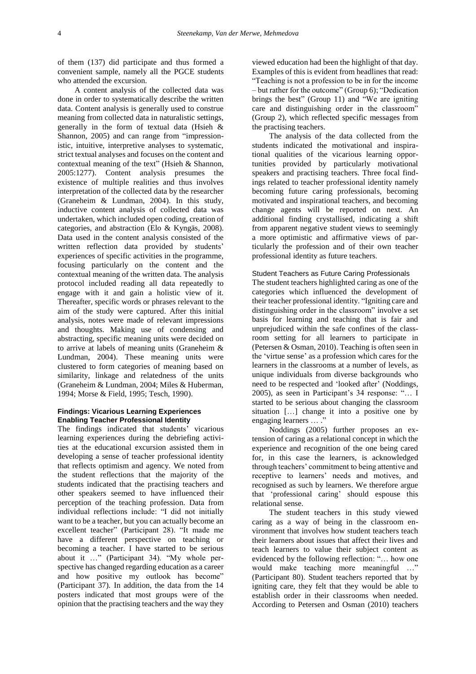of them (137) did participate and thus formed a convenient sample, namely all the PGCE students who attended the excursion.

A content analysis of the collected data was done in order to systematically describe the written data. Content analysis is generally used to construe meaning from collected data in naturalistic settings, generally in the form of textual data (Hsieh & Shannon, 2005) and can range from "impressionistic, intuitive, interpretive analyses to systematic, strict textual analyses and focuses on the content and contextual meaning of the text" (Hsieh & Shannon, 2005:1277). Content analysis presumes the existence of multiple realities and thus involves interpretation of the collected data by the researcher (Graneheim & Lundman, 2004). In this study, inductive content analysis of collected data was undertaken, which included open coding, creation of categories, and abstraction (Elo & Kyngäs, 2008). Data used in the content analysis consisted of the written reflection data provided by students' experiences of specific activities in the programme, focusing particularly on the content and the contextual meaning of the written data. The analysis protocol included reading all data repeatedly to engage with it and gain a holistic view of it. Thereafter, specific words or phrases relevant to the aim of the study were captured. After this initial analysis, notes were made of relevant impressions and thoughts. Making use of condensing and abstracting, specific meaning units were decided on to arrive at labels of meaning units (Graneheim & Lundman, 2004). These meaning units were clustered to form categories of meaning based on similarity, linkage and relatedness of the units (Graneheim & Lundman, 2004; Miles & Huberman, 1994; Morse & Field, 1995; Tesch, 1990).

## **Findings: Vicarious Learning Experiences Enabling Teacher Professional Identity**

The findings indicated that students' vicarious learning experiences during the debriefing activities at the educational excursion assisted them in developing a sense of teacher professional identity that reflects optimism and agency. We noted from the student reflections that the majority of the students indicated that the practising teachers and other speakers seemed to have influenced their perception of the teaching profession. Data from individual reflections include: "I did not initially want to be a teacher, but you can actually become an excellent teacher" (Participant 28). "It made me have a different perspective on teaching or becoming a teacher. I have started to be serious about it …" (Participant 34). "My whole perspective has changed regarding education as a career and how positive my outlook has become" (Participant 37). In addition, the data from the 14 posters indicated that most groups were of the opinion that the practising teachers and the way they

viewed education had been the highlight of that day. Examples of this is evident from headlines that read: "Teaching is not a profession to be in for the income – but rather for the outcome" (Group 6); "Dedication brings the best" (Group 11) and "We are igniting care and distinguishing order in the classroom" (Group 2), which reflected specific messages from the practising teachers.

The analysis of the data collected from the students indicated the motivational and inspirational qualities of the vicarious learning opportunities provided by particularly motivational speakers and practising teachers. Three focal findings related to teacher professional identity namely becoming future caring professionals, becoming motivated and inspirational teachers, and becoming change agents will be reported on next. An additional finding crystallised, indicating a shift from apparent negative student views to seemingly a more optimistic and affirmative views of particularly the profession and of their own teacher professional identity as future teachers.

#### Student Teachers as Future Caring Professionals

The student teachers highlighted caring as one of the categories which influenced the development of their teacher professional identity. "Igniting care and distinguishing order in the classroom" involve a set basis for learning and teaching that is fair and unprejudiced within the safe confines of the classroom setting for all learners to participate in (Petersen & Osman, 2010). Teaching is often seen in the 'virtue sense' as a profession which cares for the learners in the classrooms at a number of levels, as unique individuals from diverse backgrounds who need to be respected and 'looked after' (Noddings, 2005), as seen in Participant's 34 response: "… I started to be serious about changing the classroom situation […] change it into a positive one by engaging learners … ."

Noddings (2005) further proposes an extension of caring as a relational concept in which the experience and recognition of the one being cared for, in this case the learners, is acknowledged through teachers' commitment to being attentive and receptive to learners' needs and motives, and recognised as such by learners. We therefore argue that 'professional caring' should espouse this relational sense.

The student teachers in this study viewed caring as a way of being in the classroom environment that involves how student teachers teach their learners about issues that affect their lives and teach learners to value their subject content as evidenced by the following reflection: "… how one would make teaching more meaningful …" (Participant 80). Student teachers reported that by igniting care, they felt that they would be able to establish order in their classrooms when needed. According to Petersen and Osman (2010) teachers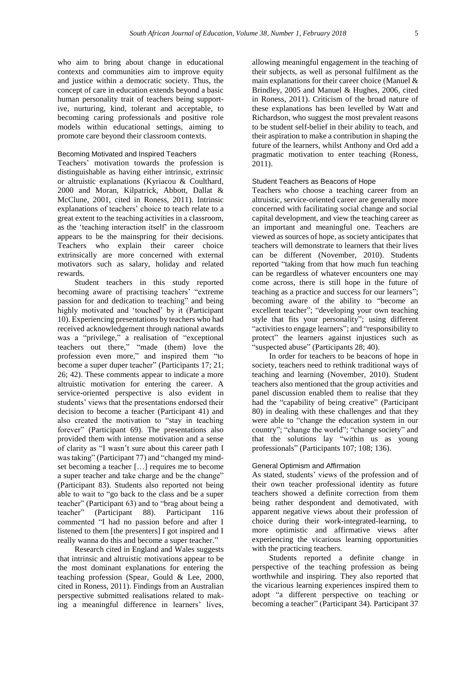who aim to bring about change in educational contexts and communities aim to improve equity and justice within a democratic society. Thus, the concept of care in education extends beyond a basic human personality trait of teachers being supportive, nurturing, kind, tolerant and acceptable, to becoming caring professionals and positive role models within educational settings, aiming to promote care beyond their classroom contexts.

#### Becoming Motivated and Inspired Teachers

Teachers' motivation towards the profession is distinguishable as having either intrinsic, extrinsic or altruistic explanations (Kyriacou & Coulthard, 2000 and Moran, Kilpatrick, Abbott, Dallat & McClune, 2001, cited in Roness, 2011). Intrinsic explanations of teachers' choice to teach relate to a great extent to the teaching activities in a classroom, as the 'teaching interaction itself' in the classroom appears to be the mainspring for their decisions. Teachers who explain their career choice extrinsically are more concerned with external motivators such as salary, holiday and related rewards.

Student teachers in this study reported becoming aware of practising teachers' "extreme passion for and dedication to teaching" and being highly motivated and 'touched' by it (Participant 10). Experiencing presentations by teachers who had received acknowledgement through national awards was a "privilege," a realisation of "exceptional teachers out there," "made (them) love the profession even more," and inspired them "to become a super duper teacher" (Participants 17; 21; 26; 42). These comments appear to indicate a more altruistic motivation for entering the career. A service-oriented perspective is also evident in students' views that the presentations endorsed their decision to become a teacher (Participant 41) and also created the motivation to "stay in teaching forever" (Participant 69). The presentations also provided them with intense motivation and a sense of clarity as "I wasn't sure about this career path I was taking" (Participant 77) and "changed my mindset becoming a teacher […] requires me to become a super teacher and take charge and be the change" (Participant 83). Students also reported not being able to wait to "go back to the class and be a super teacher" (Participant 63) and to "brag about being a teacher" (Participant 88). Participant 116 commented "I had no passion before and after I listened to them [the presenters] I got inspired and I really wanna do this and become a super teacher."

Research cited in England and Wales suggests that intrinsic and altruistic motivations appear to be the most dominant explanations for entering the teaching profession (Spear, Gould & Lee, 2000, cited in Roness, 2011). Findings from an Australian perspective submitted realisations related to making a meaningful difference in learners' lives,

allowing meaningful engagement in the teaching of their subjects, as well as personal fulfilment as the main explanations for their career choice (Manuel & Brindley, 2005 and Manuel & Hughes, 2006, cited in Roness, 2011). Criticism of the broad nature of these explanations has been levelled by Watt and Richardson, who suggest the most prevalent reasons to be student self-belief in their ability to teach, and their aspiration to make a contribution in shaping the future of the learners, whilst Anthony and Ord add a pragmatic motivation to enter teaching (Roness, 2011).

#### Student Teachers as Beacons of Hope

Teachers who choose a teaching career from an altruistic, service-oriented career are generally more concerned with facilitating social change and social capital development, and view the teaching career as an important and meaningful one. Teachers are viewed as sources of hope, as society anticipates that teachers will demonstrate to learners that their lives can be different (November, 2010). Students reported "taking from that how much fun teaching can be regardless of whatever encounters one may come across, there is still hope in the future of teaching as a practice and success for our learners"; becoming aware of the ability to "become an excellent teacher"; "developing your own teaching style that fits your personality"; using different "activities to engage learners"; and "responsibility to protect" the learners against injustices such as "suspected abuse" (Participants 28; 40).

In order for teachers to be beacons of hope in society, teachers need to rethink traditional ways of teaching and learning (November, 2010). Student teachers also mentioned that the group activities and panel discussion enabled them to realise that they had the "capability of being creative" (Participant 80) in dealing with these challenges and that they were able to "change the education system in our country"; "change the world"; "change society" and that the solutions lay "within us as young professionals" (Participants 107; 108; 136).

#### General Optimism and Affirmation

As stated, students' views of the profession and of their own teacher professional identity as future teachers showed a definite correction from them being rather despondent and demotivated, with apparent negative views about their profession of choice during their work-integrated-learning, to more optimistic and affirmative views after experiencing the vicarious learning opportunities with the practicing teachers.

Students reported a definite change in perspective of the teaching profession as being worthwhile and inspiring. They also reported that the vicarious learning experiences inspired them to adopt "a different perspective on teaching or becoming a teacher" (Participant 34). Participant 37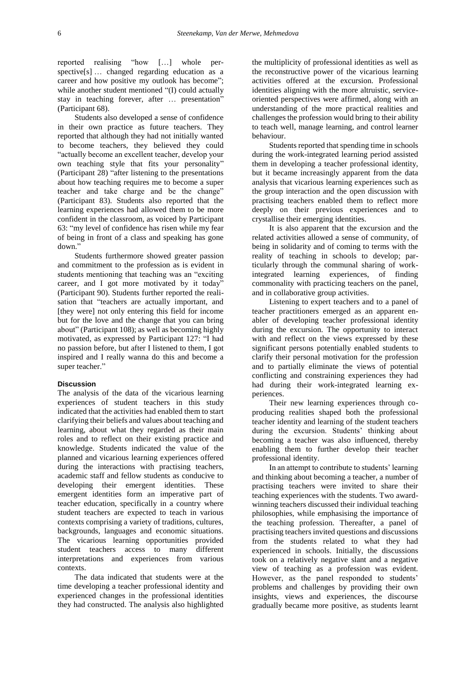reported realising "how […] whole perspective[s] … changed regarding education as a career and how positive my outlook has become"; while another student mentioned "(I) could actually stay in teaching forever, after … presentation" (Participant 68).

Students also developed a sense of confidence in their own practice as future teachers. They reported that although they had not initially wanted to become teachers, they believed they could "actually become an excellent teacher, develop your own teaching style that fits your personality" (Participant 28) "after listening to the presentations about how teaching requires me to become a super teacher and take charge and be the change" (Participant 83). Students also reported that the learning experiences had allowed them to be more confident in the classroom, as voiced by Participant 63: "my level of confidence has risen while my fear of being in front of a class and speaking has gone down."

Students furthermore showed greater passion and commitment to the profession as is evident in students mentioning that teaching was an "exciting career, and I got more motivated by it today" (Participant 90). Students further reported the realisation that "teachers are actually important, and [they were] not only entering this field for income but for the love and the change that you can bring about" (Participant 108); as well as becoming highly motivated, as expressed by Participant 127: "I had no passion before, but after I listened to them, I got inspired and I really wanna do this and become a super teacher."

#### **Discussion**

The analysis of the data of the vicarious learning experiences of student teachers in this study indicated that the activities had enabled them to start clarifying their beliefs and values about teaching and learning, about what they regarded as their main roles and to reflect on their existing practice and knowledge. Students indicated the value of the planned and vicarious learning experiences offered during the interactions with practising teachers, academic staff and fellow students as conducive to developing their emergent identities. These emergent identities form an imperative part of teacher education, specifically in a country where student teachers are expected to teach in various contexts comprising a variety of traditions, cultures, backgrounds, languages and economic situations. The vicarious learning opportunities provided student teachers access to many different interpretations and experiences from various contexts.

The data indicated that students were at the time developing a teacher professional identity and experienced changes in the professional identities they had constructed. The analysis also highlighted

the multiplicity of professional identities as well as the reconstructive power of the vicarious learning activities offered at the excursion. Professional identities aligning with the more altruistic, serviceoriented perspectives were affirmed, along with an understanding of the more practical realities and challenges the profession would bring to their ability to teach well, manage learning, and control learner behaviour.

Students reported that spending time in schools during the work-integrated learning period assisted them in developing a teacher professional identity, but it became increasingly apparent from the data analysis that vicarious learning experiences such as the group interaction and the open discussion with practising teachers enabled them to reflect more deeply on their previous experiences and to crystallise their emerging identities.

It is also apparent that the excursion and the related activities allowed a sense of community, of being in solidarity and of coming to terms with the reality of teaching in schools to develop; particularly through the communal sharing of workintegrated learning experiences, of finding commonality with practicing teachers on the panel, and in collaborative group activities.

Listening to expert teachers and to a panel of teacher practitioners emerged as an apparent enabler of developing teacher professional identity during the excursion. The opportunity to interact with and reflect on the views expressed by these significant persons potentially enabled students to clarify their personal motivation for the profession and to partially eliminate the views of potential conflicting and constraining experiences they had had during their work-integrated learning experiences.

Their new learning experiences through coproducing realities shaped both the professional teacher identity and learning of the student teachers during the excursion. Students' thinking about becoming a teacher was also influenced, thereby enabling them to further develop their teacher professional identity.

In an attempt to contribute to students' learning and thinking about becoming a teacher, a number of practising teachers were invited to share their teaching experiences with the students. Two awardwinning teachers discussed their individual teaching philosophies, while emphasising the importance of the teaching profession. Thereafter, a panel of practising teachers invited questions and discussions from the students related to what they had experienced in schools. Initially, the discussions took on a relatively negative slant and a negative view of teaching as a profession was evident. However, as the panel responded to students' problems and challenges by providing their own insights, views and experiences, the discourse gradually became more positive, as students learnt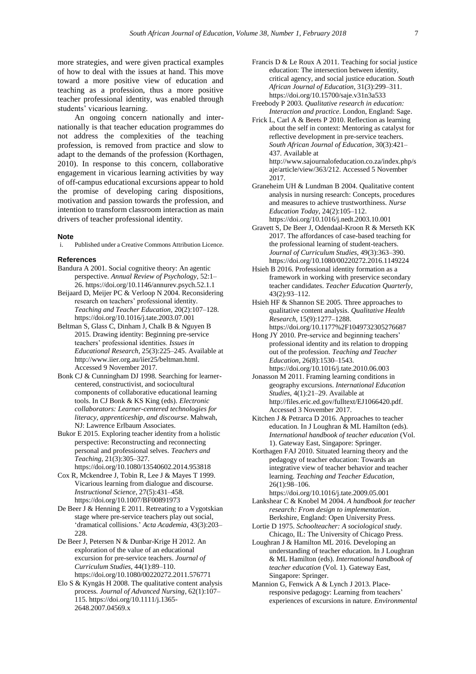more strategies, and were given practical examples of how to deal with the issues at hand. This move toward a more positive view of education and teaching as a profession, thus a more positive teacher professional identity, was enabled through students' vicarious learning.

An ongoing concern nationally and internationally is that teacher education programmes do not address the complexities of the teaching profession, is removed from practice and slow to adapt to the demands of the profession (Korthagen, 2010). In response to this concern, collaborative engagement in vicarious learning activities by way of off-campus educational excursions appear to hold the promise of developing caring dispositions, motivation and passion towards the profession, and intention to transform classroom interaction as main drivers of teacher professional identity.

#### **Note**

i. Published under a Creative Commons Attribution Licence.

#### **References**

- Bandura A 2001. Social cognitive theory: An agentic perspective. *Annual Review of Psychology*, 52:1– 26. <https://doi.org/10.1146/annurev.psych.52.1.1>
- Beijaard D, Meijer PC & Verloop N 2004. Reconsidering research on teachers' professional identity. *Teaching and Teacher Education*, 20(2):107–128. <https://doi.org/10.1016/j.tate.2003.07.001>
- Beltman S, Glass C, Dinham J, Chalk B & Nguyen B 2015. Drawing identity: Beginning pre-service teachers' professional identities. *Issues in Educational Research*, 25(3):225–245. Available at [http://www.iier.org.au/iier25/beltman.html.](http://www.iier.org.au/iier25/beltman.html)  Accessed 9 November 2017.
- Bonk CJ & Cunningham DJ 1998. Searching for learnercentered, constructivist, and sociocultural components of collaborative educational learning tools. In CJ Bonk & KS King (eds). *Electronic collaborators: Learner-centered technologies for literacy, apprenticeship, and discourse*. Mahwah, NJ: Lawrence Erlbaum Associates.
- Bukor E 2015. Exploring teacher identity from a holistic perspective: Reconstructing and reconnecting personal and professional selves. *Teachers and Teaching*, 21(3):305–327. <https://doi.org/10.1080/13540602.2014.953818>
- Cox R, Mckendree J, Tobin R, Lee J & Mayes T 1999. Vicarious learning from dialogue and discourse.
	- *Instructional Science*, 27(5):431–458. <https://doi.org/10.1007/BF00891973>
- De Beer J & Henning E 2011. Retreating to a Vygotskian stage where pre-service teachers play out social, 'dramatical collisions.' *Acta Academia*, 43(3):203– 228.
- De Beer J, Petersen N & Dunbar-Krige H 2012. An exploration of the value of an educational excursion for pre-service teachers. *Journal of Curriculum Studies*, 44(1):89–110. <https://doi.org/10.1080/00220272.2011.576771>
- Elo S & Kyngäs H 2008. The qualitative content analysis process. *Journal of Advanced Nursing*, 62(1):107– 115. [https://doi.org/10.1111/j.1365-](https://doi.org/10.1111/j.1365-2648.2007.04569.x) [2648.2007.04569.x](https://doi.org/10.1111/j.1365-2648.2007.04569.x)
- Francis D & Le Roux A 2011. Teaching for social justice education: The intersection between identity, critical agency, and social justice education. *South African Journal of Education*, 31(3):299–311. <https://doi.org/10.15700/saje.v31n3a533>
- Freebody P 2003. *Qualitative research in education: Interaction and practice*. London, England: Sage.
- Frick L, Carl A & Beets P 2010. Reflection as learning about the self in context: Mentoring as catalyst for reflective development in pre-service teachers. *South African Journal of Education*, 30(3):421– 437. Available at [http://www.sajournalofeducation.co.za/index.php/s](http://www.sajournalofeducation.co.za/index.php/saje/article/view/363/212) [aje/article/view/363/212.](http://www.sajournalofeducation.co.za/index.php/saje/article/view/363/212) Accessed 5 November 2017.
- Graneheim UH & Lundman B 2004. Qualitative content analysis in nursing research: Concepts, procedures and measures to achieve trustworthiness. *Nurse Education Today*, 24(2):105–112. <https://doi.org/10.1016/j.nedt.2003.10.001>
- Gravett S, De Beer J, Odendaal-Kroon R & Merseth KK 2017. The affordances of case-based teaching for the professional learning of student-teachers. *Journal of Curriculum Studies*, 49(3):363–390. <https://doi.org/10.1080/00220272.2016.1149224>
- Hsieh B 2016. Professional identity formation as a framework in working with preservice secondary teacher candidates. *Teacher Education Quarterly*, 43(2):93–112.
- Hsieh HF & Shannon SE 2005. Three approaches to qualitative content analysis. *Qualitative Health Research*, 15(9):1277–1288. <https://doi.org/10.1177%2F1049732305276687>
- Hong JY 2010. Pre-service and beginning teachers' professional identity and its relation to dropping out of the profession. *Teaching and Teacher Education*, 26(8):1530–1543. <https://doi.org/10.1016/j.tate.2010.06.003>
- Jonasson M 2011. Framing learning conditions in geography excursions. *International Education Studies*, 4(1):21–29. Available at [http://files.eric.ed.gov/fulltext/EJ1066420.pdf.](http://files.eric.ed.gov/fulltext/EJ1066420.pdf) Accessed 3 November 2017.
- Kitchen J & Petrarca D 2016. Approaches to teacher education. In J Loughran & ML Hamilton (eds). *International handbook of teacher education* (Vol. 1). Gateway East, Singapore: Springer.
- Korthagen FAJ 2010. Situated learning theory and the pedagogy of teacher education: Towards an integrative view of teacher behavior and teacher learning. *Teaching and Teacher Education*, 26(1):98–106.
- <https://doi.org/10.1016/j.tate.2009.05.001> Lankshear C & Knobel M 2004. *A handbook for teacher research: From design to implementation*. Berkshire, England: Open University Press.
- Lortie D 1975. *Schoolteacher: A sociological study*. Chicago, IL: The University of Chicago Press.
- Loughran J & Hamilton ML 2016. Developing an understanding of teacher education. In J Loughran & ML Hamilton (eds). *International handbook of teacher education* (Vol. 1). Gateway East, Singapore: Springer.
- Mannion G, Fenwick A & Lynch J 2013. Placeresponsive pedagogy: Learning from teachers' experiences of excursions in nature. *Environmental*